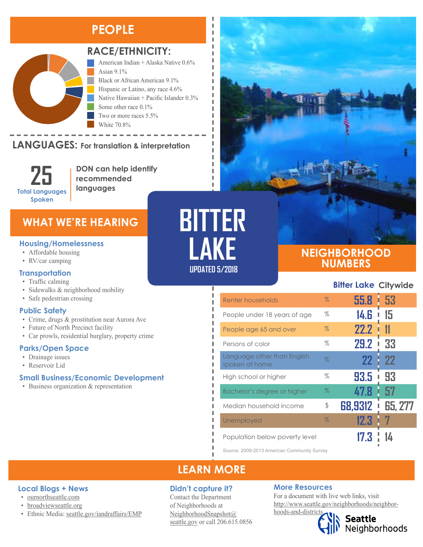# **PEOPLE**



### **RACE/ETHNICITY:**

American Indian + Alaska Native 0.6% Asian 9.1% Black or African American 9.1% Hispanic or Latino, any race 4.6% Native Hawaiian + Pacific Islander 0.3% Some other race 0.1% Two or more races 5.5% White 70.8%

#### **LANGUAGES:** For translation & interpretation Native Hawaiian and Other Pacific Islander Some Other Race Two or More Races White



**DON can help identify recommended languages**

## **WHAT WE'RE HEARING**

#### **Housing/Homelessness**

- Affordable housing
- RV/car camping

### **Transportation**

### • Traffic calming

- 
- Sidewalks & neighborhood mobility
- Safe pedestrian crossing

### **Public Safety**

- Crime, drugs & prostitution near Aurora Ave
- Future of North Precinct facility
- Car prowls, residential burglary, property crime

### **Parks/Open Space**

- Drainage issues
- Reservoir Lid

### **Small Business/Economic Development**

• Business organization & representation

# **BITTER LAKE UPDATED 5/2018**

I I

п л I I

л п

п П I, I I

### **NEIGHBORHOOD NUMBERS**

**Bitter Lake Citywide**

| Renter households                             | $\%$ | 55.8    | -53<br>I       |
|-----------------------------------------------|------|---------|----------------|
| People under 18 years of age                  | $\%$ | 14.G    | 15             |
| People age 65 and over                        | %    | 22.2    |                |
| Persons of color                              | %    | 29.2    | 33<br>ı        |
| Language other than English<br>spoken at home | $\%$ | 22      | <b>22</b>      |
| High school or higher                         | %    | 93.5    | 93             |
| Bachelor's degree or higher                   | $\%$ | 47.8    | 57             |
| Median household income                       | \$   | 68,9312 | <b>65, 277</b> |
| Unemployed                                    | $\%$ | 12.3    |                |
| Population below poverty level                |      |         |                |

Source: 2009-2013 American Community Survey

## **LEARN MORE**

### **Didn't capture it?**

Contact the Department of Neighborhoods at [NeighborhoodSnapshot@](mailto:NeighborhoodSnapshot%40%0Aseattle.gov?subject=) [seattle.gov](mailto:NeighborhoodSnapshot%40%0Aseattle.gov?subject=) or call 206.615.0856

### **More Resources**

For a document with live web links, visit [http://www.seattle.gov/neighborhoods/neighbor-](http://www.seattle.gov/neighborhoods/neighborhoods-and-districts)

# [hoods-and-districts](http://www.seattle.gov/neighborhoods/neighborhoods-and-districts)

Seattle<br>Neighborhoods

### **Local Blogs + News**

- [ournorthseattle.com](http://ournorthseattle.com/)
- [broadviewseattle.org](http://www.broadviewseattle.org/)
- Ethnic Media: [seattle.gov/iandraffairs/EMP](http://www.seattle.gov/iandraffairs/EMP)